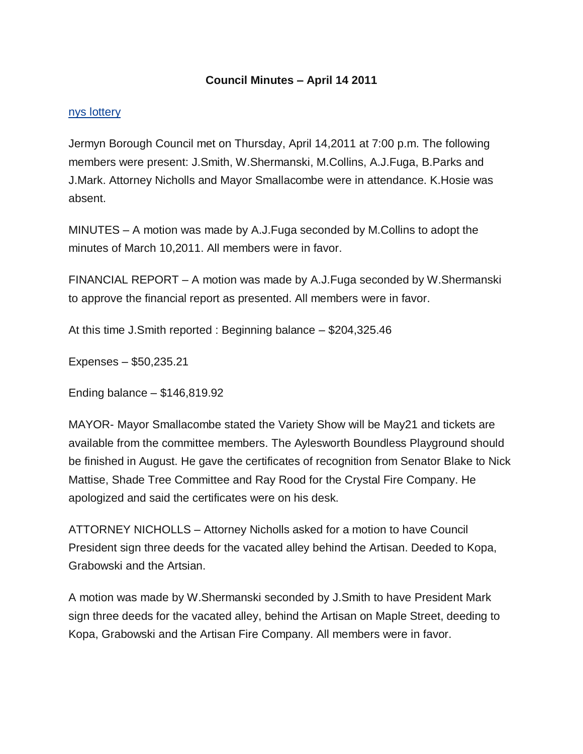## **Council Minutes – April 14 2011**

## [nys lottery](http://biolot.org/lottery-new-york)

Jermyn Borough Council met on Thursday, April 14,2011 at 7:00 p.m. The following members were present: J.Smith, W.Shermanski, M.Collins, A.J.Fuga, B.Parks and J.Mark. Attorney Nicholls and Mayor Smallacombe were in attendance. K.Hosie was absent.

MINUTES – A motion was made by A.J.Fuga seconded by M.Collins to adopt the minutes of March 10,2011. All members were in favor.

FINANCIAL REPORT – A motion was made by A.J.Fuga seconded by W.Shermanski to approve the financial report as presented. All members were in favor.

At this time J.Smith reported : Beginning balance – \$204,325.46

Expenses – \$50,235.21

Ending balance – \$146,819.92

MAYOR- Mayor Smallacombe stated the Variety Show will be May21 and tickets are available from the committee members. The Aylesworth Boundless Playground should be finished in August. He gave the certificates of recognition from Senator Blake to Nick Mattise, Shade Tree Committee and Ray Rood for the Crystal Fire Company. He apologized and said the certificates were on his desk.

ATTORNEY NICHOLLS – Attorney Nicholls asked for a motion to have Council President sign three deeds for the vacated alley behind the Artisan. Deeded to Kopa, Grabowski and the Artsian.

A motion was made by W.Shermanski seconded by J.Smith to have President Mark sign three deeds for the vacated alley, behind the Artisan on Maple Street, deeding to Kopa, Grabowski and the Artisan Fire Company. All members were in favor.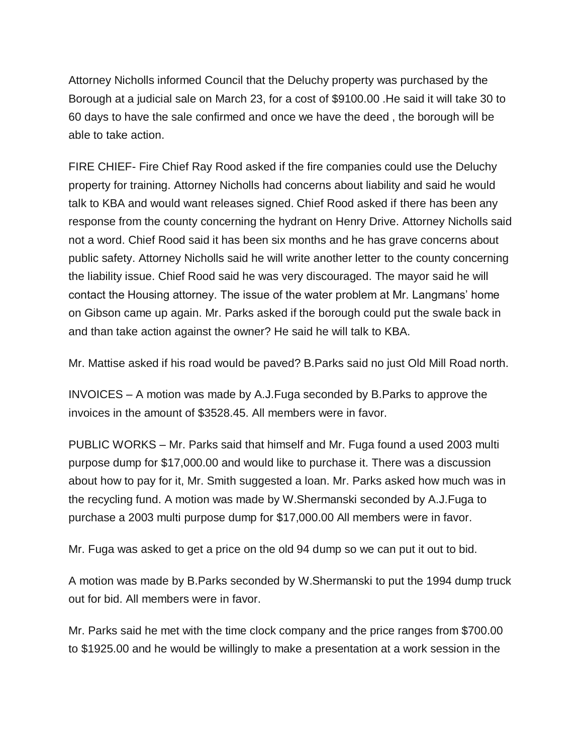Attorney Nicholls informed Council that the Deluchy property was purchased by the Borough at a judicial sale on March 23, for a cost of \$9100.00 .He said it will take 30 to 60 days to have the sale confirmed and once we have the deed , the borough will be able to take action.

FIRE CHIEF- Fire Chief Ray Rood asked if the fire companies could use the Deluchy property for training. Attorney Nicholls had concerns about liability and said he would talk to KBA and would want releases signed. Chief Rood asked if there has been any response from the county concerning the hydrant on Henry Drive. Attorney Nicholls said not a word. Chief Rood said it has been six months and he has grave concerns about public safety. Attorney Nicholls said he will write another letter to the county concerning the liability issue. Chief Rood said he was very discouraged. The mayor said he will contact the Housing attorney. The issue of the water problem at Mr. Langmans' home on Gibson came up again. Mr. Parks asked if the borough could put the swale back in and than take action against the owner? He said he will talk to KBA.

Mr. Mattise asked if his road would be paved? B.Parks said no just Old Mill Road north.

INVOICES – A motion was made by A.J.Fuga seconded by B.Parks to approve the invoices in the amount of \$3528.45. All members were in favor.

PUBLIC WORKS – Mr. Parks said that himself and Mr. Fuga found a used 2003 multi purpose dump for \$17,000.00 and would like to purchase it. There was a discussion about how to pay for it, Mr. Smith suggested a loan. Mr. Parks asked how much was in the recycling fund. A motion was made by W.Shermanski seconded by A.J.Fuga to purchase a 2003 multi purpose dump for \$17,000.00 All members were in favor.

Mr. Fuga was asked to get a price on the old 94 dump so we can put it out to bid.

A motion was made by B.Parks seconded by W.Shermanski to put the 1994 dump truck out for bid. All members were in favor.

Mr. Parks said he met with the time clock company and the price ranges from \$700.00 to \$1925.00 and he would be willingly to make a presentation at a work session in the